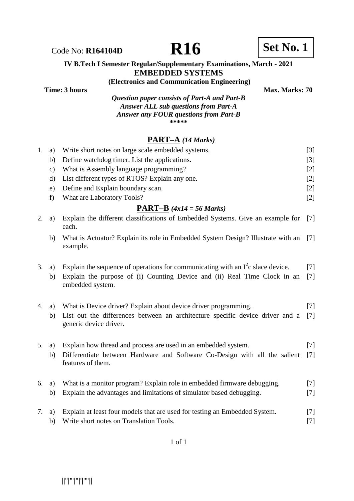Code No: **R164104D R16 R16 Set No. 1** 

#### **IV B.Tech I Semester Regular/Supplementary Examinations, March - 2021 EMBEDDED SYSTEMS**

**(Electronics and Communication Engineering)**

**Time: 3 hours** Max. Marks: 70 *Question paper consists of Part-A and Part-B Answer ALL sub questions from Part-A* 

*Answer any FOUR questions from Part-B* 

**\*\*\*\*\***

# **PART–A** *(14 Marks)*

| 1. | a)            | Write short notes on large scale embedded systems.                                                                                                                                 | $[3]$          |
|----|---------------|------------------------------------------------------------------------------------------------------------------------------------------------------------------------------------|----------------|
|    | b)            | Define watchdog timer. List the applications.                                                                                                                                      | $[3]$          |
|    | $\mathbf{c})$ | What is Assembly language programming?                                                                                                                                             | $[2]$          |
|    | d)            | List different types of RTOS? Explain any one.                                                                                                                                     | $[2]$          |
|    | e)            | Define and Explain boundary scan.                                                                                                                                                  | $[2]$          |
|    | f)            | What are Laboratory Tools?                                                                                                                                                         | $[2]$          |
|    |               | <b>PART-B</b> $(4x14 = 56 \text{ Marks})$                                                                                                                                          |                |
| 2. | a)            | Explain the different classifications of Embedded Systems. Give an example for<br>each.                                                                                            | $[7]$          |
|    | b)            | What is Actuator? Explain its role in Embedded System Design? Illustrate with an<br>example.                                                                                       | $[7]$          |
| 3. | a)<br>b)      | Explain the sequence of operations for communicating with an $I^2c$ slace device.<br>Explain the purpose of (i) Counting Device and (ii) Real Time Clock in an<br>embedded system. | $[7]$<br>$[7]$ |
| 4. | a)<br>b)      | What is Device driver? Explain about device driver programming.<br>List out the differences between an architecture specific device driver and a<br>generic device driver.         | $[7]$<br>$[7]$ |
| 5. | a)<br>b)      | Explain how thread and process are used in an embedded system.<br>Differentiate between Hardware and Software Co-Design with all the salient<br>features of them.                  | $[7]$<br>$[7]$ |
| 6. | a)<br>b)      | What is a monitor program? Explain role in embedded firmware debugging.<br>Explain the advantages and limitations of simulator based debugging.                                    | $[7]$<br>$[7]$ |
| 7. | a)<br>b)      | Explain at least four models that are used for testing an Embedded System.<br>Write short notes on Translation Tools.                                                              | $[7]$<br>$[7]$ |

||''|'''|''|'|''''||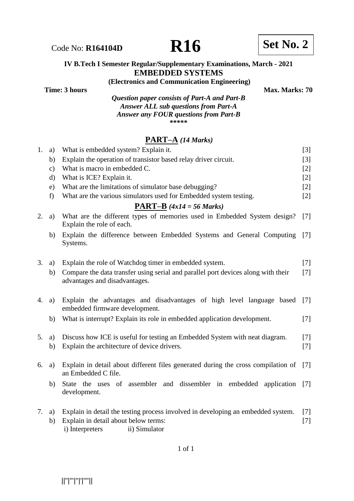## **IV B.Tech I Semester Regular/Supplementary Examinations, March - 2021 EMBEDDED SYSTEMS**

**(Electronics and Communication Engineering)**

*Question paper consists of Part-A and Part-B Answer ALL sub questions from Part-A Answer any FOUR questions from Part-B*

**\*\*\*\*\***

# **PART–A** *(14 Marks)*

| 1. | a)            | What is embedded system? Explain it.                                                                                                                         | $[3]$             |
|----|---------------|--------------------------------------------------------------------------------------------------------------------------------------------------------------|-------------------|
|    | b)            | Explain the operation of transistor based relay driver circuit.                                                                                              | $\lceil 3 \rceil$ |
|    | $\mathbf{c})$ | What is macro in embedded C.                                                                                                                                 | $[2]$             |
|    | $\rm d$       | What is ICE? Explain it.                                                                                                                                     | $[2]$             |
|    | e)            | What are the limitations of simulator base debugging?                                                                                                        | $[2]$             |
|    | f)            | What are the various simulators used for Embedded system testing.                                                                                            | $\lceil 2 \rceil$ |
|    |               | <b>PART-B</b> $(4x14 = 56 Marks)$                                                                                                                            |                   |
| 2. | a)            | What are the different types of memories used in Embedded System design?<br>Explain the role of each.                                                        | $[7]$             |
|    | b)            | Explain the difference between Embedded Systems and General Computing<br>Systems.                                                                            | $[7]$             |
| 3. | a)            | Explain the role of Watchdog timer in embedded system.                                                                                                       | $[7]$             |
|    | b)            | Compare the data transfer using serial and parallel port devices along with their<br>advantages and disadvantages.                                           | [7]               |
| 4. | a)            | Explain the advantages and disadvantages of high level language based<br>embedded firmware development.                                                      | $[7]$             |
|    | b)            | What is interrupt? Explain its role in embedded application development.                                                                                     | $[7]$             |
| 5. | a)<br>b)      | Discuss how ICE is useful for testing an Embedded System with neat diagram.<br>Explain the architecture of device drivers.                                   | $[7]$<br>$[7]$    |
| 6. | a)            | Explain in detail about different files generated during the cross compilation of<br>an Embedded C file.                                                     | $[7]$             |
|    | b)            | State the uses of assembler and dissembler in embedded application<br>development.                                                                           | $[7]$             |
| 7. | a)<br>b)      | Explain in detail the testing process involved in developing an embedded system.<br>Explain in detail about below terms:<br>ii) Simulator<br>i) Interpreters | $[7]$<br>$[7]$    |

1 of 1

||''|'''|''|'|''''||

**Time: 3 hours** Max. Marks: 70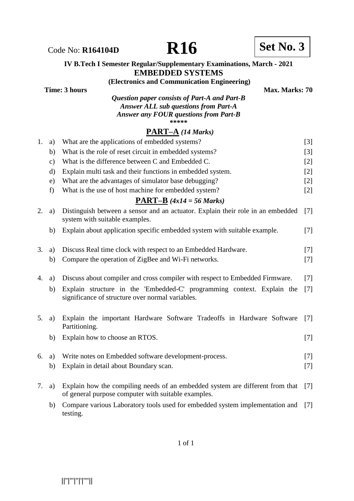Code No: **R164104D R16 R16 Set No. 3** 



#### **IV B.Tech I Semester Regular/Supplementary Examinations, March - 2021 EMBEDDED SYSTEMS**

**(Electronics and Communication Engineering)**

**Time: 3 hours** Max. Marks: 70 *Question paper consists of Part-A and Part-B Answer ALL sub questions from Part-A*

*Answer any FOUR questions from Part-B*

**\*\*\*\*\***

# **PART–A** *(14 Marks)*

| 1. | a)           | What are the applications of embedded systems?                                                                                       | $[3]$ |
|----|--------------|--------------------------------------------------------------------------------------------------------------------------------------|-------|
|    | b)           | What is the role of reset circuit in embedded systems?                                                                               | $[3]$ |
|    | $\mathbf{c}$ | What is the difference between C and Embedded C.                                                                                     | $[2]$ |
|    | $\rm d$      | Explain multi task and their functions in embedded system.                                                                           | [2]   |
|    | $\epsilon$ ) | What are the advantages of simulator base debugging?                                                                                 | $[2]$ |
|    | f)           | What is the use of host machine for embedded system?                                                                                 | $[2]$ |
|    |              | $\overline{\text{PART-B}}$ (4x14 = 56 Marks)                                                                                         |       |
| 2. | a)           | Distinguish between a sensor and an actuator. Explain their role in an embedded<br>system with suitable examples.                    | $[7]$ |
|    | b)           | Explain about application specific embedded system with suitable example.                                                            | $[7]$ |
| 3. | a)           | Discuss Real time clock with respect to an Embedded Hardware.                                                                        | $[7]$ |
|    | b)           | Compare the operation of ZigBee and Wi-Fi networks.                                                                                  | $[7]$ |
| 4. |              | Discuss about compiler and cross compiler with respect to Embedded Firmware.                                                         |       |
|    | a)           |                                                                                                                                      | $[7]$ |
|    | b)           | Explain structure in the 'Embedded-C' programming context. Explain the<br>significance of structure over normal variables.           | $[7]$ |
| 5. | a)           | Explain the important Hardware Software Tradeoffs in Hardware Software<br>Partitioning.                                              | $[7]$ |
|    | b)           | Explain how to choose an RTOS.                                                                                                       | $[7]$ |
| 6. | a)           | Write notes on Embedded software development-process.                                                                                | $[7]$ |
|    | b)           | Explain in detail about Boundary scan.                                                                                               | $[7]$ |
| 7. | a)           | Explain how the compiling needs of an embedded system are different from that<br>of general purpose computer with suitable examples. | [7]   |
|    | b)           | Compare various Laboratory tools used for embedded system implementation and<br>testing.                                             | $[7]$ |